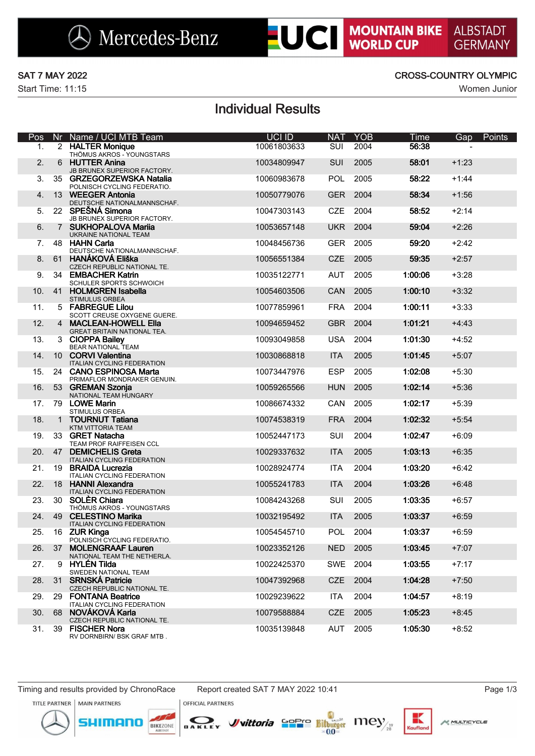Start Time: 11:15 Women Junior

**LUCI MOUNTAIN BIKE** 

**ALBSTADT** 

**GERMANY** 

# Individual Results

| Pos |                 | Nr Name / UCI MTB Team                                       | UCI ID      | <b>NAT</b> | <b>YOB</b> | Time    | Gap     | Points |
|-----|-----------------|--------------------------------------------------------------|-------------|------------|------------|---------|---------|--------|
| 1.  |                 | 2 HALTER Monique<br>THÖMUS AKROS - YOUNGSTARS                | 10061803633 | <b>SUI</b> | 2004       | 56:38   |         |        |
| 2.  | 6               | <b>HUTTER Anina</b><br>JB BRUNEX SUPERIOR FACTORY.           | 10034809947 | <b>SUI</b> | 2005       | 58:01   | $+1:23$ |        |
| 3.  |                 | 35 GRZEGORZEWSKA Natalia<br>POLNISCH CYCLING FEDERATIO.      | 10060983678 | <b>POL</b> | 2005       | 58:22   | $+1:44$ |        |
| 4.  | 13 <sup>1</sup> | <b>WEEGER Antonia</b><br>DEUTSCHE NATIONALMANNSCHAF.         | 10050779076 | <b>GER</b> | 2004       | 58:34   | $+1:56$ |        |
| 5.  |                 | 22 SPEŠNÁ Simona<br>JB BRUNEX SUPERIOR FACTORY.              | 10047303143 | <b>CZE</b> | 2004       | 58:52   | $+2:14$ |        |
| 6.  | $7^{\circ}$     | <b>SUKHOPALOVA Marija</b><br>UKRAINE NATIONAL TEAM           | 10053657148 | <b>UKR</b> | 2004       | 59:04   | $+2:26$ |        |
| 7.  |                 | 48 HAHN Carla<br>DEUTSCHE NATIONALMANNSCHAF.                 | 10048456736 | <b>GER</b> | 2005       | 59:20   | $+2:42$ |        |
| 8.  | 61              | HANÁKOVÁ Eliška<br>CZECH REPUBLIC NATIONAL TE.               | 10056551384 | <b>CZE</b> | 2005       | 59:35   | $+2:57$ |        |
| 9.  |                 | 34 EMBACHER Katrin<br>SCHULER SPORTS SCHWOICH                | 10035122771 | <b>AUT</b> | 2005       | 1:00:06 | $+3:28$ |        |
| 10. | 41              | <b>HOLMGREN Isabella</b><br><b>STIMULUS ORBEA</b>            | 10054603506 | CAN        | 2005       | 1:00:10 | $+3:32$ |        |
| 11. |                 | 5 FABREGUE Lilou<br>SCOTT CREUSE OXYGENE GUERE.              | 10077859961 | <b>FRA</b> | 2004       | 1:00:11 | $+3:33$ |        |
| 12. |                 | 4 MACLEAN-HOWELL Ella<br><b>GREAT BRITAIN NATIONAL TEA.</b>  | 10094659452 | <b>GBR</b> | 2004       | 1:01:21 | $+4:43$ |        |
| 13. |                 | 3 CIOPPA Bailey<br><b>BEAR NATIONAL TEAM</b>                 | 10093049858 | <b>USA</b> | 2004       | 1:01:30 | $+4:52$ |        |
| 14. |                 | 10 CORVI Valentina<br><b>ITALIAN CYCLING FEDERATION</b>      | 10030868818 | <b>ITA</b> | 2005       | 1:01:45 | $+5:07$ |        |
| 15. |                 | 24 CANO ESPINOSA Marta<br>PRIMAFLOR MONDRAKER GENUIN.        | 10073447976 | <b>ESP</b> | 2005       | 1:02:08 | $+5:30$ |        |
| 16. |                 | 53 GREMAN Szonja<br>NATIONAL TEAM HUNGARY                    | 10059265566 | <b>HUN</b> | 2005       | 1:02:14 | $+5:36$ |        |
| 17. |                 | 79 LOWE Marin<br>STIMULUS ORBEA                              | 10086674332 | CAN        | 2005       | 1:02:17 | $+5:39$ |        |
| 18. | 1               | <b>TOURNUT Tatiana</b><br>KTM VITTORIA TEAM                  | 10074538319 | <b>FRA</b> | 2004       | 1:02:32 | $+5:54$ |        |
| 19. |                 | 33 GRET Natacha<br>TEAM PROF RAIFFEISEN CCL                  | 10052447173 | SUI        | 2004       | 1:02:47 | $+6:09$ |        |
| 20. | 47              | <b>DEMICHELIS Greta</b><br><b>ITALIAN CYCLING FEDERATION</b> | 10029337632 | <b>ITA</b> | 2005       | 1:03:13 | $+6:35$ |        |
| 21. | 19              | <b>BRAIDA Lucrezia</b><br><b>ITALIAN CYCLING FEDERATION</b>  | 10028924774 | <b>ITA</b> | 2004       | 1:03:20 | $+6:42$ |        |
| 22. |                 | 18 HANNI Alexandra<br><b>ITALIAN CYCLING FEDERATION</b>      | 10055241783 | <b>ITA</b> | 2004       | 1:03:26 | $+6:48$ |        |
| 23. |                 | 30 SOLÈR Chiara<br>THÖMUS AKROS - YOUNGSTARS                 | 10084243268 | SUI        | 2005       | 1:03:35 | $+6:57$ |        |
| 24. |                 | 49 CELESTINO Marika<br><b>ITALIAN CYCLING FEDERATION</b>     | 10032195492 | <b>ITA</b> | 2005       | 1:03:37 | $+6:59$ |        |
| 25. |                 | 16 ZUR Kinga<br>POLNISCH CYCLING FEDERATIO.                  | 10054545710 | <b>POL</b> | 2004       | 1:03:37 | $+6:59$ |        |
| 26. | 37              | <b>MOLENGRAAF Lauren</b><br>NATIONAL TEAM THE NETHERLA.      | 10023352126 | <b>NED</b> | 2005       | 1:03:45 | $+7:07$ |        |
| 27. |                 | 9 HYLÉN Tilda<br>SWEDEN NATIONAL TEAM                        | 10022425370 | SWE        | 2004       | 1:03:55 | $+7:17$ |        |
| 28. |                 | 31 SRNSKÁ Patricie<br>CZECH REPUBLIC NATIONAL TE.            | 10047392968 | <b>CZE</b> | 2004       | 1:04:28 | $+7:50$ |        |
| 29. |                 | 29 FONTANA Beatrice<br><b>ITALIAN CYCLING FEDERATION</b>     | 10029239622 | <b>ITA</b> | 2004       | 1:04:57 | $+8:19$ |        |
| 30. | 68              | NOVÁKOVÁ Karla<br>CZECH REPUBLIC NATIONAL TE.                | 10079588884 | <b>CZE</b> | 2005       | 1:05:23 | $+8:45$ |        |
| 31. |                 | 39 FISCHER Nora<br>RV DORNBIRN/ BSK GRAF MTB.                | 10035139848 | AUT        | 2005       | 1:05:30 | $+8:52$ |        |

Timing and results provided by ChronoRace Report created SAT 7 MAY 2022 10:41 **Page 1/3** Page 1/3

mor



BIKEZONE



**OFFICIAL PARTNERS** 



к

Kaufla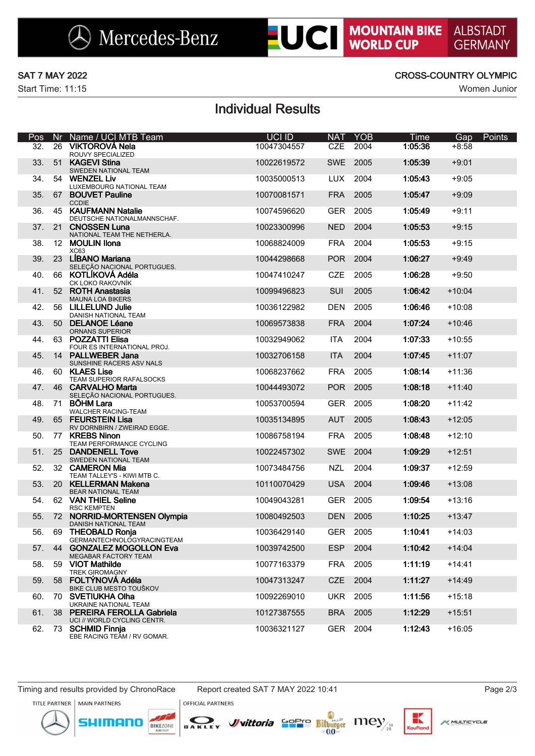# **LUCI MOUNTAIN BIKE**

Start Time: 11:15 Women Junior

## SAT 7 MAY 2022 CROSS-COUNTRY OLYMPIC

# Individual Results

| Pos | Nr | Name / UCI MTB Team                                            | UCI ID      | <b>NAT</b> | <b>YOB</b> | Time    | Gap      | Points |
|-----|----|----------------------------------------------------------------|-------------|------------|------------|---------|----------|--------|
| 32. | 26 | VIKTOROVÁ Nela<br>ROUVY SPECIALIZED                            | 10047304557 | <b>CZE</b> | 2004       | 1:05:36 | $+8:58$  |        |
| 33. | 51 | <b>KAGEVI Stina</b><br>SWEDEN NATIONAL TEAM                    | 10022619572 | <b>SWE</b> | 2005       | 1:05:39 | $+9:01$  |        |
| 34. | 54 | <b>WENZEL Liv</b><br>LUXEMBOURG NATIONAL TEAM                  | 10035000513 | <b>LUX</b> | 2004       | 1:05:43 | $+9:05$  |        |
| 35. | 67 | <b>BOUVET Pauline</b><br><b>CCDIE</b>                          | 10070081571 | <b>FRA</b> | 2005       | 1:05:47 | $+9:09$  |        |
| 36. |    | 45 KAUFMANN Natalie<br>DEUTSCHE NATIONALMANNSCHAF.             | 10074596620 | <b>GER</b> | 2005       | 1:05:49 | $+9:11$  |        |
| 37. | 21 | <b>CNOSSEN Luna</b><br>NATIONAL TEAM THE NETHERLA.             | 10023300996 | <b>NED</b> | 2004       | 1:05:53 | $+9:15$  |        |
| 38. |    | 12 MOULIN Ilona<br>XC63                                        | 10068824009 | <b>FRA</b> | 2004       | 1:05:53 | $+9:15$  |        |
| 39. |    | 23 LÍBANO Mariana<br>SELEÇÃO NACIONAL PORTUGUES.               | 10044298668 | <b>POR</b> | 2004       | 1:06:27 | $+9:49$  |        |
| 40. |    | 66 KOTLÍKOVÁ Adéla<br>CK LOKO RAKOVNÍK                         | 10047410247 | <b>CZE</b> | 2005       | 1:06:28 | $+9:50$  |        |
| 41. |    | 52 ROTH Anastasia<br><b>MAUNA LOA BIKERS</b>                   | 10099496823 | SUI        | 2005       | 1:06:42 | $+10:04$ |        |
| 42. |    | 56 LILLELUND Julie<br>DANISH NATIONAL TEAM                     | 10036122982 | <b>DEN</b> | 2005       | 1:06:46 | $+10:08$ |        |
| 43. |    | 50 DELANOE Léane<br><b>ORNANS SUPERIOR</b>                     | 10069573838 | <b>FRA</b> | 2004       | 1:07:24 | $+10:46$ |        |
| 44. |    | 63 POZZATTI Elisa<br>FOUR ES INTERNATIONAL PROJ.               | 10032949062 | <b>ITA</b> | 2004       | 1:07:33 | $+10:55$ |        |
| 45. |    | 14 PALLWEBER Jana<br>SUNSHINE RACERS ASV NALS                  | 10032706158 | <b>ITA</b> | 2004       | 1:07:45 | $+11:07$ |        |
| 46. |    | 60 KLAES Lise<br>TEAM SUPERIOR RAFALSOCKS                      | 10068237662 | <b>FRA</b> | 2005       | 1:08:14 | $+11:36$ |        |
| 47. |    | 46 CARVALHO Marta<br>SELEÇÃO NACIONAL PORTUGUES.               | 10044493072 | POR        | 2005       | 1:08:18 | $+11:40$ |        |
| 48. |    | 71 BÖHM Lara<br><b>WALCHER RACING-TEAM</b>                     | 10053700594 | <b>GER</b> | 2005       | 1:08:20 | $+11:42$ |        |
| 49. |    | 65 FEURSTEIN Lisa<br>RV DORNBIRN / ZWEIRAD EGGE.               | 10035134895 | <b>AUT</b> | 2005       | 1:08:43 | $+12:05$ |        |
| 50. |    | 77 KREBS Ninon<br>TEAM PERFORMANCE CYCLING                     | 10086758194 | <b>FRA</b> | 2005       | 1:08:48 | $+12:10$ |        |
| 51. |    | 25 DANDENELL Tove<br>SWEDEN NATIONAL TEAM                      | 10022457302 | <b>SWE</b> | 2004       | 1:09:29 | $+12:51$ |        |
| 52. |    | 32 CAMERON Mia<br>TEAM TALLEY'S - KIWI MTB C.                  | 10073484756 | <b>NZL</b> | 2004       | 1:09:37 | $+12:59$ |        |
| 53. |    | 20 KELLERMAN Makena<br>BEAR NATIONAL TEAM                      | 10110070429 | <b>USA</b> | 2004       | 1:09:46 | $+13:08$ |        |
| 54. |    | 62 VAN THIEL Seline<br><b>RSC KEMPTEN</b>                      | 10049043281 | <b>GER</b> | 2005       | 1:09:54 | $+13:16$ |        |
| 55. |    | 72 NORRID-MORTENSEN Olympia<br>DANISH NATIONAL TEAM            | 10080492503 | <b>DEN</b> | 2005       | 1:10:25 | $+13:47$ |        |
| 56. |    | 69 THEOBALD Ronja<br><b>GERMANTECHNOLOGYRACINGTEAM</b>         | 10036429140 | <b>GER</b> | 2005       | 1:10:41 | $+14:03$ |        |
| 57. |    | 44 GONZALEZ MOGOLLON Eva<br><b>MEGABAR FACTORY TEAM</b>        | 10039742500 | <b>ESP</b> | 2004       | 1:10:42 | $+14:04$ |        |
| 58. | 59 | <b>VIOT Mathilde</b><br>TREK GIROMAGNY                         | 10077163379 | <b>FRA</b> | 2005       | 1:11:19 | $+14:41$ |        |
| 59. | 58 | FOLTÝNOVÁ Adéla<br>BIKE CLUB MESTO TOUŠKOV                     | 10047313247 | <b>CZE</b> | 2004       | 1:11:27 | $+14:49$ |        |
| 60. | 70 | <b>SVETIUKHA Olha</b><br>UKRAINE NATIONAL TEAM                 | 10092269010 | <b>UKR</b> | 2005       | 1:11:56 | $+15:18$ |        |
| 61. | 38 | <b>PEREIRA FEROLLA Gabriela</b><br>UCI // WORLD CYCLING CENTR. | 10127387555 | <b>BRA</b> | 2005       | 1:12:29 | $+15:51$ |        |
| 62. |    | 73 SCHMID Finnia<br>EBE RACING TEAM / RV GOMAR.                | 10036321127 | GER        | 2004       | 1:12:43 | $+16:05$ |        |

Timing and results provided by ChronoRace Report created SAT 7 MAY 2022 10:41 Page 2/3

JIMANO

**M. MULTICYCLE** 

Kruflo







**OFFICIAL PARTNERS**